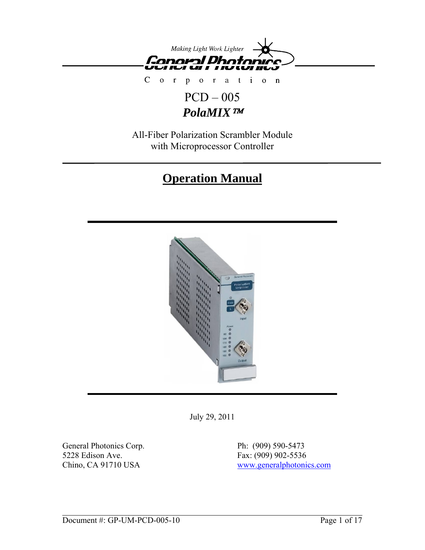

 $\mathsf{C}$  $\circ$ r a t i o n  $\bar{\Gamma}$  $\mathbf{p}$  $\overline{O}$ 

## PCD – 005 *PolaMIX*™

All-Fiber Polarization Scrambler Module with Microprocessor Controller

# **Operation Manual**



July 29, 2011

General Photonics Corp. Ph: (909) 590-5473 5228 Edison Ave. Fax: (909) 902-5536

Chino, CA 91710 USA [www.generalphotonics.com](http://www.generalphotonics.com/)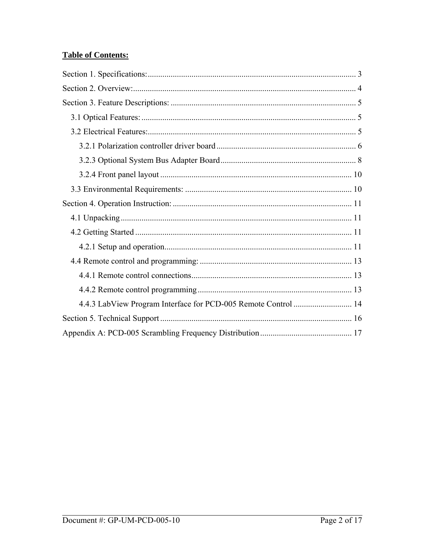## **Table of Contents:**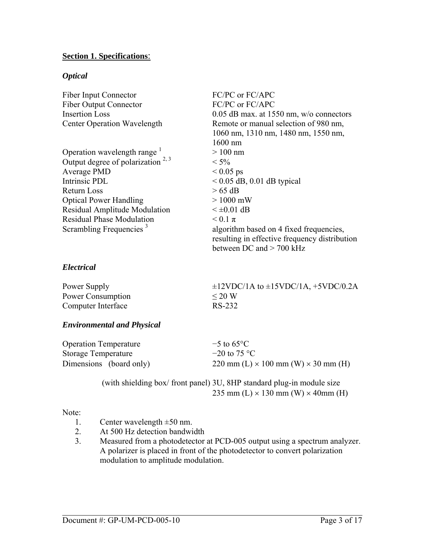#### <span id="page-2-0"></span>**Section 1. Specifications**:

#### *Optical*

| <b>Fiber Input Connector</b>        | FC/PC or FC/APC                               |
|-------------------------------------|-----------------------------------------------|
| <b>Fiber Output Connector</b>       | FC/PC or FC/APC                               |
| <b>Insertion Loss</b>               | $0.05$ dB max. at 1550 nm, w/o connectors     |
| <b>Center Operation Wavelength</b>  | Remote or manual selection of 980 nm,         |
|                                     | 1060 nm, 1310 nm, 1480 nm, 1550 nm,           |
|                                     | $1600$ nm                                     |
| Operation wavelength range $1$      | $>100$ nm                                     |
| Output degree of polarization $2,3$ | $< 5\%$                                       |
| Average PMD                         | $< 0.05$ ps                                   |
| Intrinsic PDL                       | $< 0.05$ dB, 0.01 dB typical                  |
| Return Loss                         | $> 65$ dB                                     |
| <b>Optical Power Handling</b>       | $>1000$ mW                                    |
| Residual Amplitude Modulation       | $\leq \pm 0.01$ dB                            |
| <b>Residual Phase Modulation</b>    | $< 0.1 \pi$                                   |
| Scrambling Frequencies <sup>3</sup> | algorithm based on 4 fixed frequencies,       |
|                                     | resulting in effective frequency distribution |
|                                     | between DC and $>$ 700 kHz                    |

#### *Electrical*

| Power Supply       | $\pm$ 12VDC/1A to $\pm$ 15VDC/1A, +5VDC/0.2A |
|--------------------|----------------------------------------------|
| Power Consumption  | $\leq$ 20 W                                  |
| Computer Interface | RS-232                                       |

#### *Environmental and Physical*

| <b>Operation Temperature</b> | $-5$ to 65 $\degree$ C                            |
|------------------------------|---------------------------------------------------|
| <b>Storage Temperature</b>   | $-20$ to 75 °C                                    |
| Dimensions (board only)      | 220 mm (L) $\times$ 100 mm (W) $\times$ 30 mm (H) |

 (with shielding box/ front panel) 3U, 8HP standard plug-in module size 235 mm (L)  $\times$  130 mm (W)  $\times$  40mm (H)

#### Note:

- 1. Center wavelength  $\pm 50$  nm.
- 2. At 500 Hz detection bandwidth
- 3. Measured from a photodetector at PCD-005 output using a spectrum analyzer. A polarizer is placed in front of the photodetector to convert polarization modulation to amplitude modulation.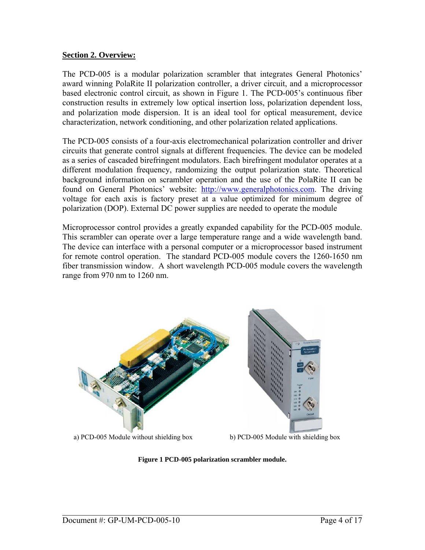#### <span id="page-3-0"></span>**Section 2. Overview:**

The PCD-005 is a modular polarization scrambler that integrates General Photonics' award winning PolaRite II polarization controller, a driver circuit, and a microprocessor based electronic control circuit, as shown in [Figure 1](#page-3-1). The PCD-005's continuous fiber construction results in extremely low optical insertion loss, polarization dependent loss, and polarization mode dispersion. It is an ideal tool for optical measurement, device characterization, network conditioning, and other polarization related applications.

The PCD-005 consists of a four-axis electromechanical polarization controller and driver circuits that generate control signals at different frequencies. The device can be modeled as a series of cascaded birefringent modulators. Each birefringent modulator operates at a different modulation frequency, randomizing the output polarization state. Theoretical background information on scrambler operation and the use of the PolaRite II can be found on General Photonics' website: [http://www.generalphotonics.com](http://www.generalphotonics.com/). The driving voltage for each axis is factory preset at a value optimized for minimum degree of polarization (DOP). External DC power supplies are needed to operate the module

Microprocessor control provides a greatly expanded capability for the PCD-005 module. This scrambler can operate over a large temperature range and a wide wavelength band. The device can interface with a personal computer or a microprocessor based instrument for remote control operation. The standard PCD-005 module covers the 1260-1650 nm fiber transmission window. A short wavelength PCD-005 module covers the wavelength range from 970 nm to 1260 nm.



<span id="page-3-1"></span>a) PCD-005 Module without shielding box b) PCD-005 Module with shielding box

#### **Figure 1 PCD-005 polarization scrambler module.**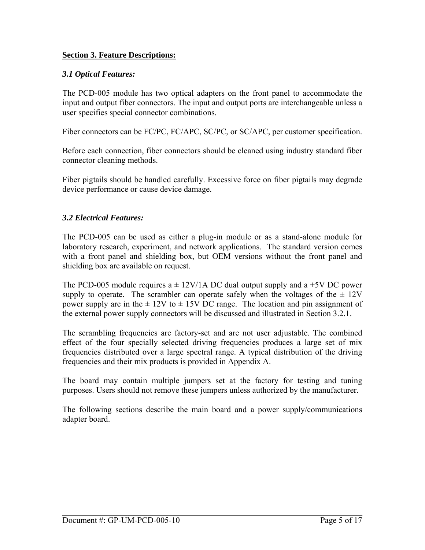## <span id="page-4-0"></span>**Section 3. Feature Descriptions:**

## *3.1 Optical Features:*

The PCD-005 module has two optical adapters on the front panel to accommodate the input and output fiber connectors. The input and output ports are interchangeable unless a user specifies special connector combinations.

Fiber connectors can be FC/PC, FC/APC, SC/PC, or SC/APC, per customer specification.

Before each connection, fiber connectors should be cleaned using industry standard fiber connector cleaning methods.

Fiber pigtails should be handled carefully. Excessive force on fiber pigtails may degrade device performance or cause device damage.

## *3.2 Electrical Features:*

The PCD-005 can be used as either a plug-in module or as a stand-alone module for laboratory research, experiment, and network applications. The standard version comes with a front panel and shielding box, but OEM versions without the front panel and shielding box are available on request.

The PCD-005 module requires  $a \pm 12V/1$  ADC dual output supply and  $a + 5V$ DC power supply to operate. The scrambler can operate safely when the voltages of the  $\pm$  12V power supply are in the  $\pm$  12V to  $\pm$  15V DC range. The location and pin assignment of the external power supply connectors will be discussed and illustrated in Section 3.2.1.

The scrambling frequencies are factory-set and are not user adjustable. The combined effect of the four specially selected driving frequencies produces a large set of mix frequencies distributed over a large spectral range. A typical distribution of the driving frequencies and their mix products is provided in Appendix A.

The board may contain multiple jumpers set at the factory for testing and tuning purposes. Users should not remove these jumpers unless authorized by the manufacturer.

The following sections describe the main board and a power supply/communications adapter board.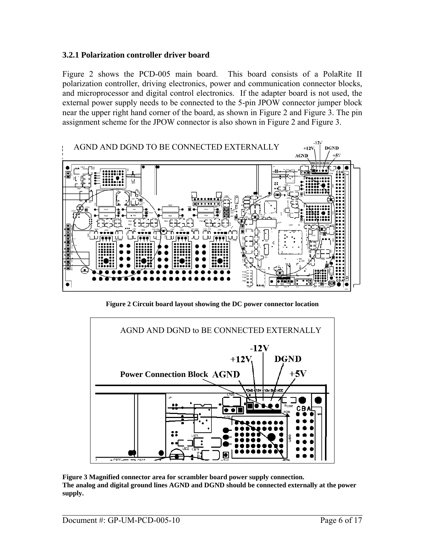#### <span id="page-5-0"></span>**3.2.1 Polarization controller driver board**

[Figure 2](#page-5-1) shows the PCD-005 main board. This board consists of a PolaRite II polarization controller, driving electronics, power and communication connector blocks, and microprocessor and digital control electronics. If the adapter board is not used, the external power supply needs to be connected to the 5-pin JPOW connector jumper block near the upper right hand corner of the board, as shown in [Figure 2](#page-5-1) and [Figure 3.](#page-5-2) The pin assignment scheme for the JPOW connector is also shown in [Figure 2](#page-5-1) and [Figure 3](#page-5-2).



**Figure 2 Circuit board layout showing the DC power connector location** 

<span id="page-5-1"></span>

<span id="page-5-2"></span>**Figure 3 Magnified connector area for scrambler board power supply connection. The analog and digital ground lines AGND and DGND should be connected externally at the power supply.**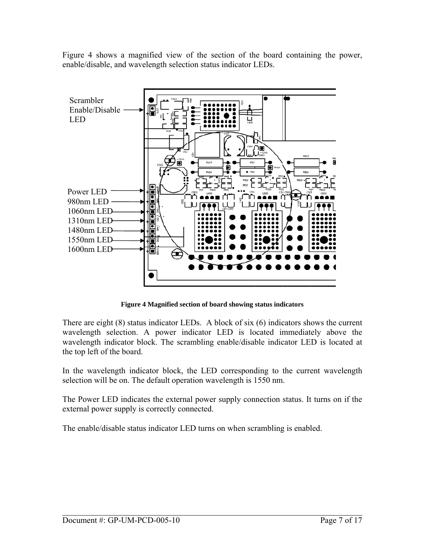[Figure 4](#page-6-0) shows a magnified view of the section of the board containing the power, enable/disable, and wavelength selection status indicator LEDs.



**Figure 4 Magnified section of board showing status indicators** 

<span id="page-6-0"></span>There are eight (8) status indicator LEDs. A block of six (6) indicators shows the current wavelength selection. A power indicator LED is located immediately above the wavelength indicator block. The scrambling enable/disable indicator LED is located at the top left of the board.

In the wavelength indicator block, the LED corresponding to the current wavelength selection will be on. The default operation wavelength is 1550 nm.

The Power LED indicates the external power supply connection status. It turns on if the external power supply is correctly connected.

The enable/disable status indicator LED turns on when scrambling is enabled.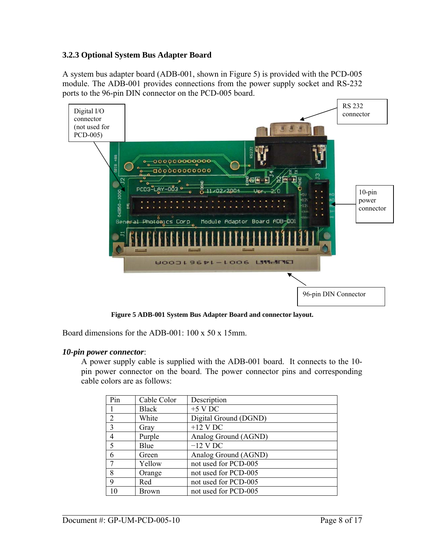## <span id="page-7-0"></span>**3.2.3 Optional System Bus Adapter Board**

A system bus adapter board (ADB-001, shown in [Figure 5\)](#page-7-1) is provided with the PCD-005 module. The ADB-001 provides connections from the power supply socket and RS-232 ports to the 96-pin DIN connector on the PCD-005 board.



**Figure 5 ADB-001 System Bus Adapter Board and connector layout.** 

<span id="page-7-1"></span>Board dimensions for the ADB-001: 100 x 50 x 15mm.

#### *10-pin power connector*:

A power supply cable is supplied with the ADB-001 board. It connects to the 10 pin power connector on the board. The power connector pins and corresponding cable colors are as follows:

| Pin            | Cable Color  | Description           |
|----------------|--------------|-----------------------|
|                | <b>Black</b> | $+5$ V DC             |
| $\overline{2}$ | White        | Digital Ground (DGND) |
| $\overline{3}$ | Gray         | $+12$ V DC            |
| $\overline{4}$ | Purple       | Analog Ground (AGND)  |
| 5              | Blue         | $-12$ V DC            |
| 6              | Green        | Analog Ground (AGND)  |
| 7              | Yellow       | not used for PCD-005  |
| 8              | Orange       | not used for PCD-005  |
| 9              | Red          | not used for PCD-005  |
| 10             | <b>Brown</b> | not used for PCD-005  |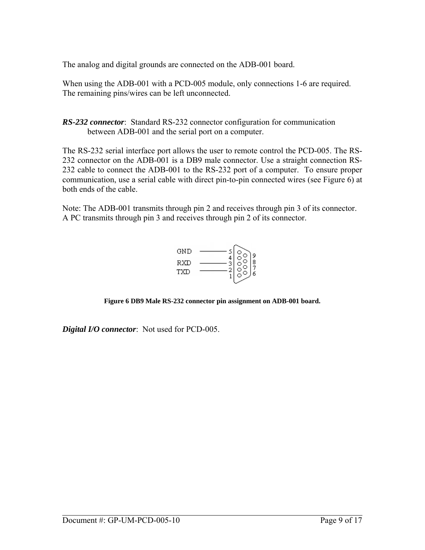The analog and digital grounds are connected on the ADB-001 board.

When using the ADB-001 with a PCD-005 module, only connections 1-6 are required. The remaining pins/wires can be left unconnected.

*RS-232 connector*: Standard RS-232 connector configuration for communication between ADB-001 and the serial port on a computer.

The RS-232 serial interface port allows the user to remote control the PCD-005. The RS-232 connector on the ADB-001 is a DB9 male connector. Use a straight connection RS-232 cable to connect the ADB-001 to the RS-232 port of a computer. To ensure proper communication, use a serial cable with direct pin-to-pin connected wires (see [Figure 6](#page-8-0)) at both ends of the cable.

Note: The ADB-001 transmits through pin 2 and receives through pin 3 of its connector. A PC transmits through pin 3 and receives through pin 2 of its connector.



**Figure 6 DB9 Male RS-232 connector pin assignment on ADB-001 board.** 

<span id="page-8-0"></span>*Digital I/O connector*: Not used for PCD-005.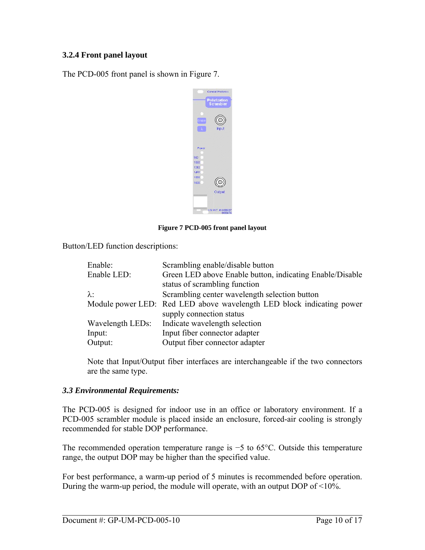## <span id="page-9-0"></span>**3.2.4 Front panel layout**

The PCD-005 front panel is shown in [Figure 7](#page-9-1).

|                              | <b>General Photonics</b><br><b>Polarization</b><br><b>Scrambler</b> |
|------------------------------|---------------------------------------------------------------------|
| nabi<br>λ                    | Input                                                               |
| Power<br>980<br>1060<br>1310 |                                                                     |
| 1480<br>1550<br>1600         | Output                                                              |
|                              | US PAT #6                                                           |

**Figure 7 PCD-005 front panel layout** 

<span id="page-9-1"></span>Button/LED function descriptions:

| Enable:          | Scrambling enable/disable button                                      |
|------------------|-----------------------------------------------------------------------|
| Enable LED:      | Green LED above Enable button, indicating Enable/Disable              |
|                  | status of scrambling function                                         |
| $\lambda$ :      | Scrambling center wavelength selection button                         |
|                  | Module power LED: Red LED above wavelength LED block indicating power |
|                  | supply connection status                                              |
| Wavelength LEDs: | Indicate wavelength selection                                         |
| Input:           | Input fiber connector adapter                                         |
| Output:          | Output fiber connector adapter                                        |

Note that Input/Output fiber interfaces are interchangeable if the two connectors are the same type.

#### *3.3 Environmental Requirements:*

The PCD-005 is designed for indoor use in an office or laboratory environment. If a PCD-005 scrambler module is placed inside an enclosure, forced-air cooling is strongly recommended for stable DOP performance.

The recommended operation temperature range is −5 to 65°C. Outside this temperature range, the output DOP may be higher than the specified value.

For best performance, a warm-up period of 5 minutes is recommended before operation. During the warm-up period, the module will operate, with an output DOP of <10%.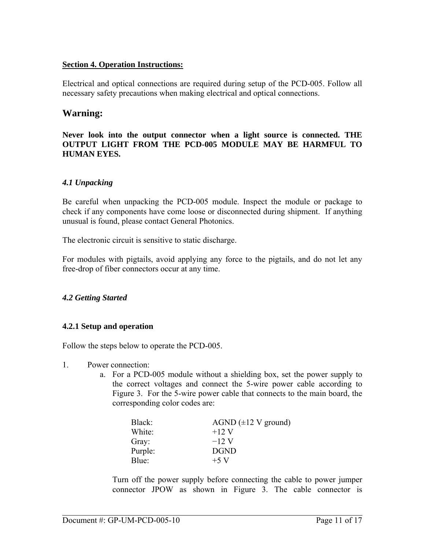#### <span id="page-10-0"></span>**Section 4. Operation Instructions:**

Electrical and optical connections are required during setup of the PCD-005. Follow all necessary safety precautions when making electrical and optical connections.

## **Warning:**

#### **Never look into the output connector when a light source is connected. THE OUTPUT LIGHT FROM THE PCD-005 MODULE MAY BE HARMFUL TO HUMAN EYES.**

#### *4.1 Unpacking*

Be careful when unpacking the PCD-005 module. Inspect the module or package to check if any components have come loose or disconnected during shipment. If anything unusual is found, please contact General Photonics.

The electronic circuit is sensitive to static discharge.

For modules with pigtails, avoid applying any force to the pigtails, and do not let any free-drop of fiber connectors occur at any time.

#### *4.2 Getting Started*

#### **4.2.1 Setup and operation**

Follow the steps below to operate the PCD-005.

- 1. Power connection:
	- a. For a PCD-005 module without a shielding box, set the power supply to the correct voltages and connect the 5-wire power cable according to [Figure 3.](#page-5-2) For the 5-wire power cable that connects to the main board, the corresponding color codes are:

| Black:  | AGND $(\pm 12 \text{ V ground})$ |
|---------|----------------------------------|
| White:  | $+12$ V                          |
| Gray:   | $-12$ V                          |
| Purple: | <b>DGND</b>                      |
| Blue:   | $+5$ V                           |

Turn off the power supply before connecting the cable to power jumper connector JPOW as shown in [Figure 3](#page-5-2). The cable connector is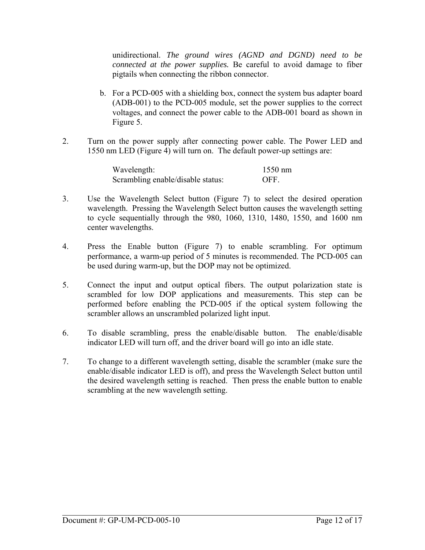unidirectional. *The ground wires (AGND and DGND) need to be connected at the power supplies.* Be careful to avoid damage to fiber pigtails when connecting the ribbon connector.

- b. For a PCD-005 with a shielding box, connect the system bus adapter board (ADB-001) to the PCD-005 module, set the power supplies to the correct voltages, and connect the power cable to the ADB-001 board as shown in [Figure 5](#page-7-1).
- 2. Turn on the power supply after connecting power cable. The Power LED and 1550 nm LED ([Figure 4\)](#page-6-0) will turn on. The default power-up settings are:

| Wavelength:                       | $1550$ nm  |
|-----------------------------------|------------|
| Scrambling enable/disable status: | <b>OFF</b> |

- 3. Use the Wavelength Select button [\(Figure 7\)](#page-9-1) to select the desired operation wavelength. Pressing the Wavelength Select button causes the wavelength setting to cycle sequentially through the 980, 1060, 1310, 1480, 1550, and 1600 nm center wavelengths.
- 4. Press the Enable button ([Figure 7](#page-9-1)) to enable scrambling. For optimum performance, a warm-up period of 5 minutes is recommended. The PCD-005 can be used during warm-up, but the DOP may not be optimized.
- 5. Connect the input and output optical fibers. The output polarization state is scrambled for low DOP applications and measurements. This step can be performed before enabling the PCD-005 if the optical system following the scrambler allows an unscrambled polarized light input.
- 6. To disable scrambling, press the enable/disable button. The enable/disable indicator LED will turn off, and the driver board will go into an idle state.
- 7. To change to a different wavelength setting, disable the scrambler (make sure the enable/disable indicator LED is off), and press the Wavelength Select button until the desired wavelength setting is reached. Then press the enable button to enable scrambling at the new wavelength setting.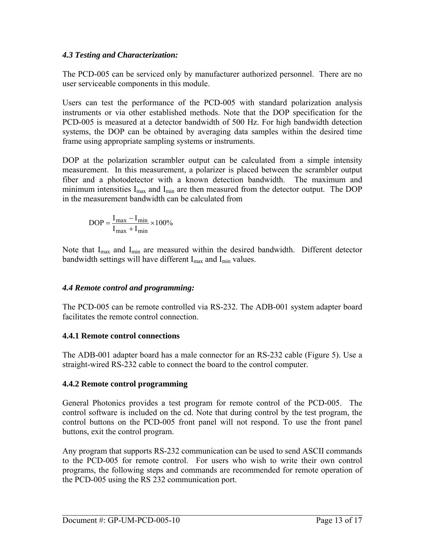## <span id="page-12-0"></span>*4.3 Testing and Characterization:*

The PCD-005 can be serviced only by manufacturer authorized personnel. There are no user serviceable components in this module.

Users can test the performance of the PCD-005 with standard polarization analysis instruments or via other established methods. Note that the DOP specification for the PCD-005 is measured at a detector bandwidth of 500 Hz. For high bandwidth detection systems, the DOP can be obtained by averaging data samples within the desired time frame using appropriate sampling systems or instruments.

DOP at the polarization scrambler output can be calculated from a simple intensity measurement. In this measurement, a polarizer is placed between the scrambler output fiber and a photodetector with a known detection bandwidth. The maximum and minimum intensities  $I_{max}$  and  $I_{min}$  are then measured from the detector output. The DOP in the measurement bandwidth can be calculated from

$$
DOP = \frac{I_{max} - I_{min}}{I_{max} + I_{min}} \times 100\%
$$

Note that  $I_{max}$  and  $I_{min}$  are measured within the desired bandwidth. Different detector bandwidth settings will have different  $I_{\text{max}}$  and  $I_{\text{min}}$  values.

## *4.4 Remote control and programming:*

The PCD-005 can be remote controlled via RS-232. The ADB-001 system adapter board facilitates the remote control connection.

## **4.4.1 Remote control connections**

The ADB-001 adapter board has a male connector for an RS-232 cable [\(Figure 5](#page-7-1)). Use a straight-wired RS-232 cable to connect the board to the control computer.

## **4.4.2 Remote control programming**

General Photonics provides a test program for remote control of the PCD-005. The control software is included on the cd. Note that during control by the test program, the control buttons on the PCD-005 front panel will not respond. To use the front panel buttons, exit the control program.

Any program that supports RS-232 communication can be used to send ASCII commands to the PCD-005 for remote control. For users who wish to write their own control programs, the following steps and commands are recommended for remote operation of the PCD-005 using the RS 232 communication port.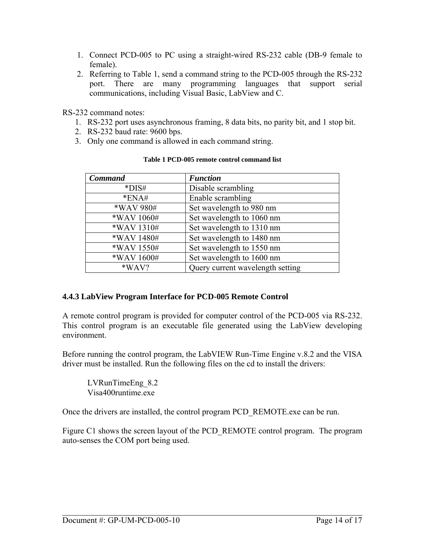- <span id="page-13-0"></span>1. Connect PCD-005 to PC using a straight-wired RS-232 cable (DB-9 female to female).
- 2. Referring to [Table 1](#page-13-1), send a command string to the PCD-005 through the RS-232 port. There are many programming languages that support serial communications, including Visual Basic, LabView and C.

RS-232 command notes:

- 1. RS-232 port uses asynchronous framing, 8 data bits, no parity bit, and 1 stop bit.
- 2. RS-232 baud rate: 9600 bps.
- <span id="page-13-1"></span>3. Only one command is allowed in each command string.

| <b>Command</b> | <b>Function</b>                  |
|----------------|----------------------------------|
| *DIS#          | Disable scrambling               |
| $*ENA#$        | Enable scrambling                |
| *WAV 980#      | Set wavelength to 980 nm         |
| *WAV 1060#     | Set wavelength to 1060 nm        |
| *WAV 1310#     | Set wavelength to 1310 nm        |
| *WAV 1480#     | Set wavelength to 1480 nm        |
| *WAV 1550#     | Set wavelength to 1550 nm        |
| *WAV 1600#     | Set wavelength to 1600 nm        |
| *WAV?          | Query current wavelength setting |

#### **Table 1 PCD-005 remote control command list**

## **4.4.3 LabView Program Interface for PCD-005 Remote Control**

A remote control program is provided for computer control of the PCD-005 via RS-232. This control program is an executable file generated using the LabView developing environment.

Before running the control program, the LabVIEW Run-Time Engine v.8.2 and the VISA driver must be installed. Run the following files on the cd to install the drivers:

LVRunTimeEng\_8.2 Visa400runtime.exe

Once the drivers are installed, the control program PCD\_REMOTE.exe can be run.

Figure C1 shows the screen layout of the PCD\_REMOTE control program. The program auto-senses the COM port being used.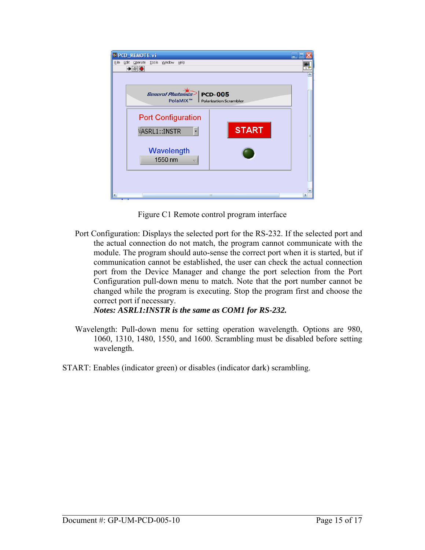

Figure C1 Remote control program interface

Port Configuration: Displays the selected port for the RS-232. If the selected port and the actual connection do not match, the program cannot communicate with the module. The program should auto-sense the correct port when it is started, but if communication cannot be established, the user can check the actual connection port from the Device Manager and change the port selection from the Port Configuration pull-down menu to match. Note that the port number cannot be changed while the program is executing. Stop the program first and choose the correct port if necessary.

*Notes: ASRL1:INSTR is the same as COM1 for RS-232.* 

- Wavelength: Pull-down menu for setting operation wavelength. Options are 980, 1060, 1310, 1480, 1550, and 1600. Scrambling must be disabled before setting wavelength.
- START: Enables (indicator green) or disables (indicator dark) scrambling.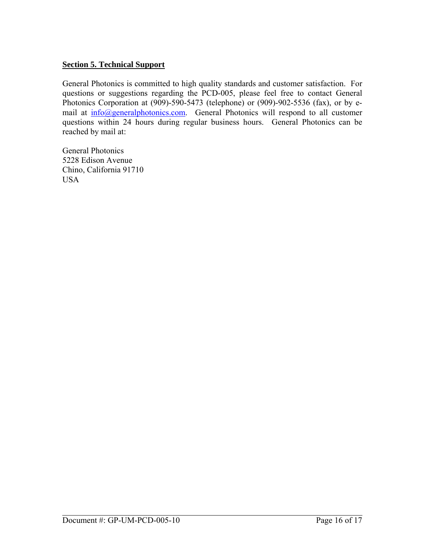## <span id="page-15-0"></span>**Section 5. Technical Support**

General Photonics is committed to high quality standards and customer satisfaction. For questions or suggestions regarding the PCD-005, please feel free to contact General Photonics Corporation at (909)-590-5473 (telephone) or (909)-902-5536 (fax), or by email at  $info$  *(a)* general photonics.com. General Photonics will respond to all customer questions within 24 hours during regular business hours. General Photonics can be reached by mail at:

General Photonics 5228 Edison Avenue Chino, California 91710 USA